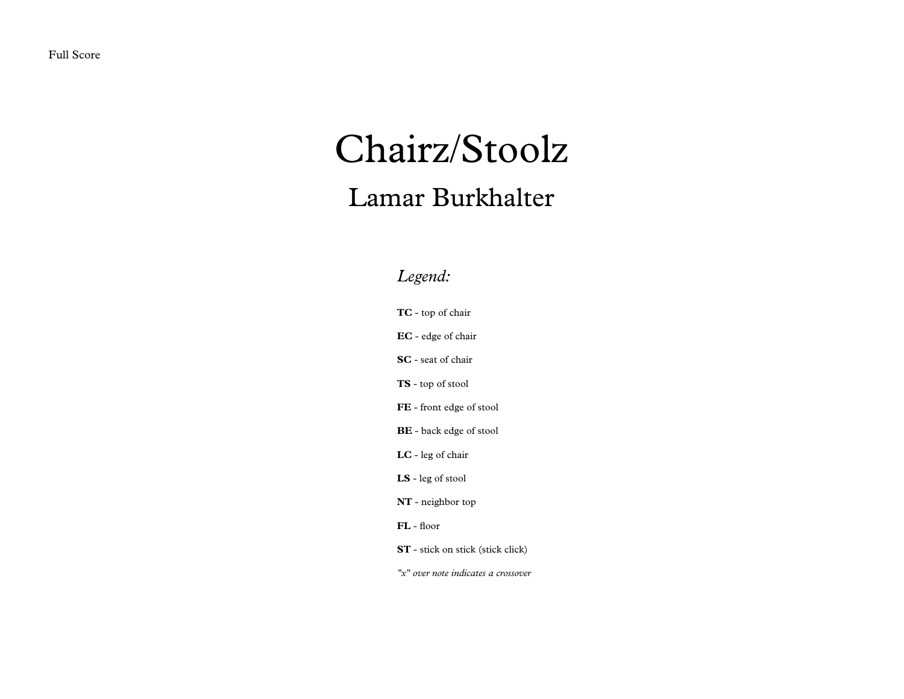## Chairz/Stoolz

## Lamar Burkhalter

## *Legend:*

**TC** - top of chair

**EC** - edge of chair

**SC** - seat of chair

**TS** - top of stool

**FE** - front edge of stool

**BE** - back edge of stool

**LC** - leg of chair

**LS** - leg of stool

**NT** - neighbor top

**FL** - floor

**ST** - stick on stick (stick click)

*"x" over note indicates a crossover*